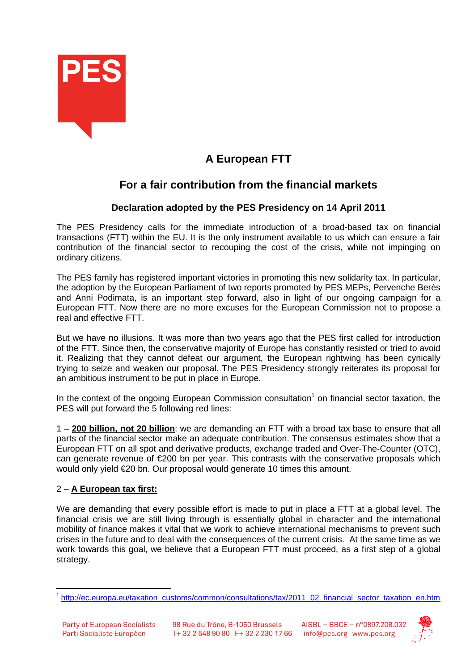

## **A European FTT**

## **For a fair contribution from the financial markets**

## **Declaration adopted by the PES Presidency on 14 April 2011**

The PES Presidency calls for the immediate introduction of a broad-based tax on financial transactions (FTT) within the EU. It is the only instrument available to us which can ensure a fair contribution of the financial sector to recouping the cost of the crisis, while not impinging on ordinary citizens.

The PES family has registered important victories in promoting this new solidarity tax. In particular, the adoption by the European Parliament of two reports promoted by PES MEPs, Pervenche Berès and Anni Podimata, is an important step forward, also in light of our ongoing campaign for a European FTT. Now there are no more excuses for the European Commission not to propose a real and effective FTT.

But we have no illusions. It was more than two years ago that the PES first called for introduction of the FTT. Since then, the conservative majority of Europe has constantly resisted or tried to avoid it. Realizing that they cannot defeat our argument, the European rightwing has been cynically trying to seize and weaken our proposal. The PES Presidency strongly reiterates its proposal for an ambitious instrument to be put in place in Europe.

In the context of the ongoing European Commission consultation<sup>1</sup> on financial sector taxation, the PES will put forward the 5 following red lines:

1 – **200 billion, not 20 billion**: we are demanding an FTT with a broad tax base to ensure that all parts of the financial sector make an adequate contribution. The consensus estimates show that a European FTT on all spot and derivative products, exchange traded and Over-The-Counter (OTC), can generate revenue of €200 bn per year. This contrasts with the conservative proposals which would only yield €20 bn. Our proposal would generate 10 times this amount.

## 2 – **A European tax first:**

We are demanding that every possible effort is made to put in place a FTT at a global level. The financial crisis we are still living through is essentially global in character and the international mobility of finance makes it vital that we work to achieve international mechanisms to prevent such crises in the future and to deal with the consequences of the current crisis. At the same time as we work towards this goal, we believe that a European FTT must proceed, as a first step of a global strategy.



 $\overline{a}$ <sup>1</sup>http://ec.europa.eu/taxation\_customs/common/consultations/tax/2011\_02\_financial\_sector\_taxation\_en.htm